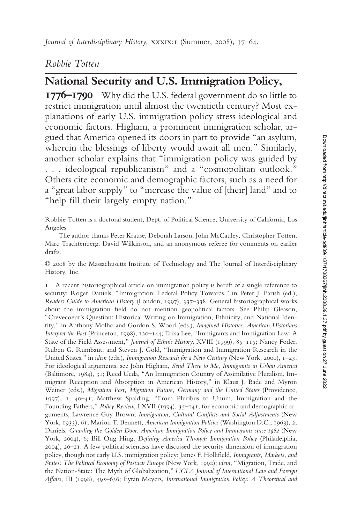## *Robbie Totten*

# **National Security and U.S. Immigration Policy,**

**1776–1790** Why did the U.S. federal government do so little to restrict immigration until almost the twentieth century? Most explanations of early U.S. immigration policy stress ideological and economic factors. Higham, a prominent immigration scholar, argued that America opened its doors in part to provide "an asylum, wherein the blessings of liberty would await all men." Similarly, another scholar explains that "immigration policy was guided by . . . ideological republicanism" and a "cosmopolitan outlook." Others cite economic and demographic factors, such as a need for a "great labor supply" to "increase the value of [their] land" and to "help fill their largely empty nation."<sup>1</sup>

Robbie Totten is a doctoral student, Dept. of Political Science, University of California, Los Angeles.

The author thanks Peter Krause, Deborah Larson, John McCauley, Christopher Totten, Marc Trachtenberg, David Wilkinson, and an anonymous referee for comments on earlier drafts.

© 2008 by the Massachusetts Institute of Technology and The Journal of Interdisciplinary History, Inc.

1 A recent historiographical article on immigration policy is bereft of a single reference to security: Roger Daniels, "Immigration: Federal Policy Towards," in Peter J. Parish (ed.), *Readers Guide to American History* (London, 1997), 337–338. General historiographical works about the immigration field do not mention geopolitical factors. See Philip Gleason, "Crevecoeur's Question: Historical Writing on Immigration, Ethnicity, and National Identity," in Anthony Molho and Gordon S. Wood (eds.), *Imagined Histories: American Historians Interpret the Past* (Princeton, 1998), 120–144; Erika Lee, "Immigrants and Immigration Law: A State of the Field Assessment," *Journal of Ethnic History,* XVIII (1999), 85–115; Nancy Foder, Ruben G. Rumbaut, and Steven J. Gold, "Immigration and Immigration Research in the United States," in *idem* (eds.), *Immigration Research for a New Century* (New York, 2000), 1–23. For ideological arguments, see John Higham, *Send These to Me, Immigrants in Urban America* (Baltimore, 1984), 31; Reed Ueda, "An Immigration Country of Assimilative Pluralism, Immigrant Reception and Absorption in American History," in Klaus J. Bade and Myron Weiner (eds.), *Migration Past, Migration Future, Germany and the United States* (Providence, 1997), 1, 40–41; Matthew Spalding, "From Pluribus to Unum, Immigration and the Founding Fathers," *Policy Review,* LXVII (1994), 35–141; for economic and demographic arguments, Lawrence Guy Brown, *Immigration, Cultural Conflicts and Social Adjustments* (New York, 1933), 61; Marion T. Bennett, *American Immigration Policies* (Washington D.C., 1963), 2; Daniels, *Guarding the Golden Door: American Immigration Policy and Immigrants since 1982* (New York, 2004), 6; Bill Ong Hing, *Defining America Through Immigration Policy* (Philadelphia, 2004), 20–21. A few political scientists have discussed the security dimension of immigration policy, though not early U.S. immigration policy: James F. Hollifield, *Immigrants, Markets, and States: The Political Economy of Postwar Europe* (New York, 1992); *idem,* "Migration, Trade, and the Nation-State: The Myth of Globalization," *UCLA Journal of International Law and Foreign Affairs,* III (1998), 595–636; Eytan Meyers, *International Immigration Policy: A Theoretical and*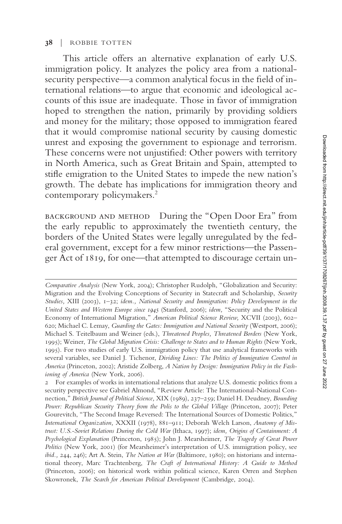#### **38** | ROBBIE TOTTEN

This article offers an alternative explanation of early U.S. immigration policy. It analyzes the policy area from a nationalsecurity perspective—a common analytical focus in the field of international relations—to argue that economic and ideological accounts of this issue are inadequate. Those in favor of immigration hoped to strengthen the nation, primarily by providing soldiers and money for the military; those opposed to immigration feared that it would compromise national security by causing domestic unrest and exposing the government to espionage and terrorism. These concerns were not unjustified: Other powers with territory in North America, such as Great Britain and Spain, attempted to stifle emigration to the United States to impede the new nation's growth. The debate has implications for immigration theory and contemporary policymakers.<sup>2</sup>

background and method During the "Open Door Era" from the early republic to approximately the twentieth century, the borders of the United States were legally unregulated by the federal government, except for a few minor restrictions—the Passenger Act of 1819, for one—that attempted to discourage certain un-

*Comparative Analysis* (New York, 2004); Christopher Rudolph, "Globalization and Security: Migration and the Evolving Conceptions of Security in Statecraft and Scholarship, *Security Studies,* XIII (2003), 1–32; *idem., National Security and Immigration: Policy Development in the United States and Western Europe since 1945* (Stanford, 2006); *idem,* "Security and the Political Economy of International Migration," *American Political Science Review,* XCVII (2003), 602– 620; Michael C. Lemay, *Guarding the Gates: Immigration and National Security* (Westport, 2006); Michael S. Teitelbaum and Weiner (eds.), *Threatened Peoples, Threatened Borders* (New York, 1995); Weiner, *The Global Migration Crisis: Challenge to States and to Human Rights* (New York, 1995). For two studies of early U.S. immigration policy that use analytical frameworks with several variables, see Daniel J. Tichenor, *Dividing Lines: The Politics of Immigration Control in America* (Princeton, 2002); Aristide Zolberg, *A Nation by Design: Immigration Policy in the Fashioning of America* (New York, 2006).

<sup>2</sup> For examples of works in international relations that analyze U.S. domestic politics from a security perspective see Gabriel Almond, "Review Article: The International-National Connection," *British Journal of Political Science,* XIX (1989), 237–259; Daniel H. Deudney, *Bounding Power: Republican Security Theory from the Polis to the Global Village* (Princeton, 2007); Peter Gourevitch, "The Second Image Reversed: The International Sources of Domestic Politics," *International Organization,* XXXII (1978), 881–911; Deborah Welch Larson, *Anatomy of Mistrust: U.S.-Soviet Relations During the Cold War* (Ithaca, 1997); *idem, Origins of Containment: A Psychological Explanation* (Princeton, 1985); John J. Mearsheimer, *The Tragedy of Great Power Politics* (New York, 2001) (for Mearsheimer's interpretation of U.S. immigration policy, see *ibid.,* 244, 246); Art A. Stein, *The Nation at War* (Baltimore, 1980); on historians and international theory, Marc Trachtenberg, *The Craft of International History: A Guide to Method* (Princeton, 2006); on historical work within political science, Karen Orren and Stephen Skowronek, *The Search for American Political Development* (Cambridge, 2004).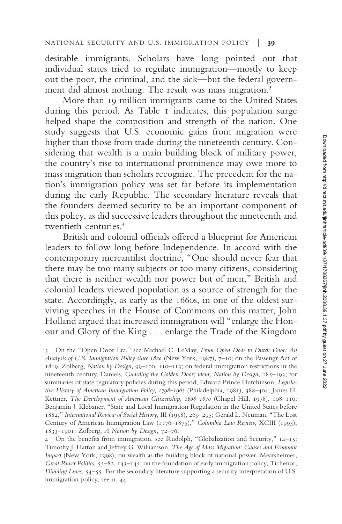desirable immigrants. Scholars have long pointed out that individual states tried to regulate immigration—mostly to keep out the poor, the criminal, and the sick—but the federal government did almost nothing. The result was mass migration.<sup>3</sup>

More than 19 million immigrants came to the United States during this period. As Table 1 indicates, this population surge helped shape the composition and strength of the nation. One study suggests that U.S. economic gains from migration were higher than those from trade during the nineteenth century. Considering that wealth is a main building block of military power, the country's rise to international prominence may owe more to mass migration than scholars recognize. The precedent for the nation's immigration policy was set far before its implementation during the early Republic. The secondary literature reveals that the founders deemed security to be an important component of this policy, as did successive leaders throughout the nineteenth and twentieth centuries.<sup>4</sup>

British and colonial officials offered a blueprint for American leaders to follow long before Independence. In accord with the contemporary mercantilist doctrine, "One should never fear that there may be too many subjects or too many citizens, considering that there is neither wealth nor power but of men," British and colonial leaders viewed population as a source of strength for the state. Accordingly, as early as the 1660s, in one of the oldest surviving speeches in the House of Commons on this matter, John Holland argued that increased immigration will "enlarge the Honour and Glory of the King... enlarge the Trade of the Kingdom

3 On the "Open Door Era," see Michael C. LeMay, *From Open Door to Dutch Door: An Analysis of U.S. Immigration Policy since 1820* (New York, 1987), 7–10; on the Passengr Act of 1819, Zolberg, *Nation by Design,* 99–100, 110–113; on federal immigration restrictions in the nineteenth century, Daniels, *Guarding the Golden Door; idem, Nation by Design,* 185–193; for summaries of state regulatory policies during this period, Edward Prince Hutchinson, *Legislative History of American Immigration Policy, 1798–1965* (Philadelphia, 1981), 388–404; James H. Kettner, *The Development of American Citizenship, 1608–1870* (Chapel Hill, 1978), 108–110; Benjamin J. Klebaner, "State and Local Immigration Regulation in the United States before 1882," *International Review of Social History,* III (1958), 269–295; Gerald L. Neuman, "The Lost Century of American Immigration Law (1776–1875)," *Columbia Law Review,* XCIII (1993), 1833–1901; Zolberg, *A Nation by Design,* 72–76.

4 On the benefits from immigration, see Rudolph, "Globalization and Security,"  $14-15$ ; Timothy J. Hatton and Jeffrey G. Williamson, *The Age of Mass Migration: Causes and Economic Impact* (New York, 1998); on wealth as the building block of national power, Mearsheimer, *Great Power Politics,* 55–82, 143–145; on the foundation of early immigration policy, Tichenor, *Dividing Lines,* 54–55. For the secondary literature supporting a security interpretation of U.S. immigration policy, see n. 44.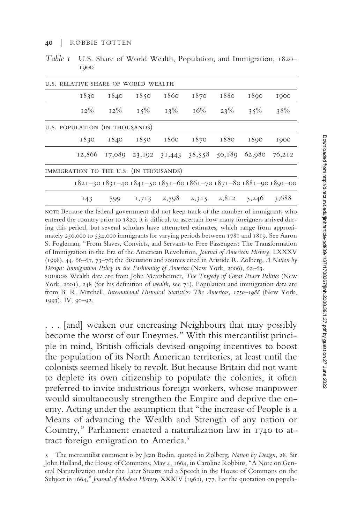| U.S. RELATIVE SHARE OF WORLD WEALTH    |      |               |      |                                                         |      |       |                                                                 |
|----------------------------------------|------|---------------|------|---------------------------------------------------------|------|-------|-----------------------------------------------------------------|
| 1830                                   | 1840 | 1850          | 1860 | 1870                                                    | 1880 | 1890  | 1900                                                            |
| $12\%$                                 |      | $12\%$ $15\%$ | 13%  | 16%                                                     | 23%  | 35%   | 38%                                                             |
| U.S. POPULATION (IN THOUSANDS)         |      |               |      |                                                         |      |       |                                                                 |
| 1830                                   |      | 1840 1850     | 1860 | 1870                                                    | 1880 | 1890  | 1900                                                            |
|                                        |      |               |      | 12,866 17,089 23,192 31,443 38,558 50,189 62,980 76,212 |      |       |                                                                 |
| IMMIGRATION TO THE U.S. (IN THOUSANDS) |      |               |      |                                                         |      |       |                                                                 |
|                                        |      |               |      |                                                         |      |       | 1821-30 1831-40 1841-50 1851-60 1861-70 1871-80 1881-90 1891-00 |
| I43                                    | 599  |               |      | $1,713$ $2,598$ $2,315$ $2,812$                         |      | 5,246 | 3,688                                                           |

*Table 1* U.S. Share of World Wealth, Population, and Immigration, 1820– 1900

note Because the federal government did not keep track of the number of immigrants who entered the country prior to 1820, it is difficult to ascertain how many foreigners arrived during this period, but several scholars have attempted estimates, which range from approximately 250,000 to 534,000 immigrants for varying periods between 1781 and 1819. See Aaron S. Fogleman, "From Slaves, Convicts, and Servants to Free Passengers: The Transformation of Immigration in the Era of the American Revolution, *Journal of American History,* LXXXV (1998), 44, 66–67, 73–76; the discussion and sources cited in Aristide R. Zolberg, *A Nation by Design: Immigration Policy in the Fashioning of America* (New York, 2006), 62–63.

sources Wealth data are from John Mearsheimer, *The Tragedy of Great Power Politics* (New York, 2001), 248 (for his definition of *wealth*, see 71). Population and immigration data are from B. R. Mitchell, *International Historical Statistics: The Americas, 1750–1988* (New York, 1993), IV, 90–92.

. . . [and] weaken our encreasing Neighbours that may possibly become the worst of our Eneymes." With this mercantilist principle in mind, British officials devised ongoing incentives to boost the population of its North American territories, at least until the colonists seemed likely to revolt. But because Britain did not want to deplete its own citizenship to populate the colonies, it often preferred to invite industrious foreign workers, whose manpower would simultaneously strengthen the Empire and deprive the enemy. Acting under the assumption that "the increase of People is a Means of advancing the Wealth and Strength of any nation or Country," Parliament enacted a naturalization law in 1740 to attract foreign emigration to America.<sup>5</sup>

<sup>5</sup> The mercantilist comment is by Jean Bodin, quoted in Zolberg, *Nation by Design,* 28. Sir John Holland, the House of Commons, May 4, 1664, in Caroline Robbins, "A Note on General Naturalization under the Later Stuarts and a Speech in the House of Commons on the Subject in 1664," *Journal of Modern History,* XXXIV (1962), 177. For the quotation on popula-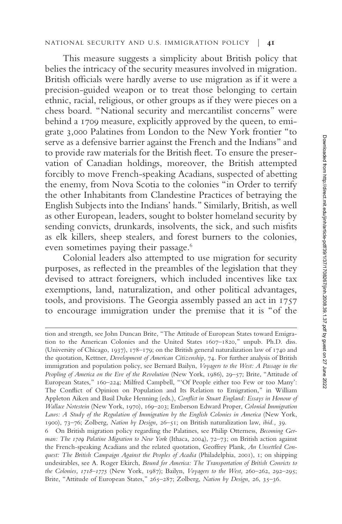This measure suggests a simplicity about British policy that belies the intricacy of the security measures involved in migration. British officials were hardly averse to use migration as if it were a precision-guided weapon or to treat those belonging to certain ethnic, racial, religious, or other groups as if they were pieces on a chess board. "National security and mercantilist concerns" were behind a 1709 measure, explicitly approved by the queen, to emigrate 3,000 Palatines from London to the New York frontier "to serve as a defensive barrier against the French and the Indians" and to provide raw materials for the British fleet. To ensure the preservation of Canadian holdings, moreover, the British attempted forcibly to move French-speaking Acadians, suspected of abetting the enemy, from Nova Scotia to the colonies "in Order to terrify the other Inhabitants from Clandestine Practices of betraying the English Subjects into the Indians' hands." Similarly, British, as well as other European, leaders, sought to bolster homeland security by sending convicts, drunkards, insolvents, the sick, and such misfits as elk killers, sheep stealers, and forest burners to the colonies, even sometimes paying their passage.<sup>6</sup>

Colonial leaders also attempted to use migration for security purposes, as reflected in the preambles of the legislation that they devised to attract foreigners, which included incentives like tax exemptions, land, naturalization, and other political advantages, tools, and provisions. The Georgia assembly passed an act in 1757 to encourage immigration under the premise that it is "of the

tion and strength, see John Duncan Brite, "The Attitude of European States toward Emigration to the American Colonies and the United States 1607–1820," unpub. Ph.D. diss. (University of Chicago, 1937), 178–179; on the British general naturalization law of 1740 and the quotation, Kettner, *Development of American Citizenship,* 74. For further analysis of British immigration and population policy, see Bernard Bailyn, *Voyagers to the West: A Passage in the Peopling of America on the Eve of the Revolution* (New York, 1986), 29–57; Brite, "Attitude of European States," 160–224; Milfred Campbell, "'Of People either too Few or too Many': The Conflict of Opinion on Population and Its Relation to Emigration," in William Appleton Aiken and Basil Duke Henning (eds.), *Conflict in Stuart England: Essays in Honour of Wallace Notestein* (New York, 1970), 169–203; Emberson Edward Proper, *Colonial Immigration Laws: A Study of the Regulation of Immigration by the English Colonies in America* (New York, 1900), 73–76; Zolberg, *Nation by Design,* 26–51; on British naturalization law, *ibid.,* 39.

<sup>6</sup> On British migration policy regarding the Palatines, see Philip Otterness, *Becoming German: The 1709 Palatine Migration to New York* (Ithaca, 2004), 72–73; on British action against the French-speaking Acadians and the related quotation, Geoffrey Plank, *An Unsettled Conquest: The British Campaign Against the Peoples of Acadia* (Philadelphia, 2001), 1; on shipping undesirables, see A. Roger Ekirch, *Bound for America: The Transportation of British Convicts to the Colonies, 1718–1775* (New York, 1987); Bailyn, *Voyagers to the West,* 260–262, 292–295; Brite, "Attitude of European States," 265–287; Zolberg, *Nation by Design,* 26, 35–36.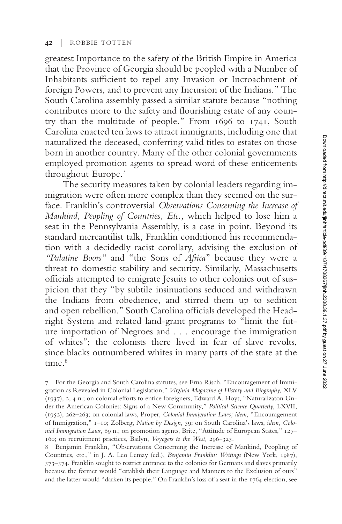greatest Importance to the safety of the British Empire in America that the Province of Georgia should be peopled with a Number of Inhabitants sufficient to repel any Invasion or Incroachment of foreign Powers, and to prevent any Incursion of the Indians." The South Carolina assembly passed a similar statute because "nothing contributes more to the safety and flourishing estate of any country than the multitude of people." From 1696 to 1741, South Carolina enacted ten laws to attract immigrants, including one that naturalized the deceased, conferring valid titles to estates on those born in another country. Many of the other colonial governments employed promotion agents to spread word of these enticements throughout Europe.<sup>7</sup>

The security measures taken by colonial leaders regarding immigration were often more complex than they seemed on the surface. Franklin's controversial *Observations Concerning the Increase of Mankind, Peopling of Countries, Etc.,* which helped to lose him a seat in the Pennsylvania Assembly, is a case in point. Beyond its standard mercantilist talk, Franklin conditioned his recommendation with a decidedly racist corollary, advising the exclusion of *"Palatine Boors"* and "the Sons of *Africa*" because they were a threat to domestic stability and security. Similarly, Massachusetts officials attempted to emigrate Jesuits to other colonies out of suspicion that they "by subtile insinuations seduced and withdrawn the Indians from obedience, and stirred them up to sedition and open rebellion." South Carolina officials developed the Headright System and related land-grant programs to "limit the future importation of Negroes and... encourage the immigration of whites"; the colonists there lived in fear of slave revolts, since blacks outnumbered whites in many parts of the state at the time<sup>8</sup>

<sup>7</sup> For the Georgia and South Carolina statutes, see Erna Risch, "Encouragement of Immigration as Revealed in Colonial Legislation," *Virginia Magazine of History and Biography,* XLV (1937), 2, 4 n.; on colonial efforts to entice foreigners, Edward A. Hoyt, "Naturalizaton Under the American Colonies: Signs of a New Community," *Political Science Quarterly,* LXVII, (1952), 262–263; on colonial laws, Proper, *Colonial Immigration Laws; idem,* "Encouragement of Immigration," 1–10; Zolberg, *Nation by Design,* 39; on South Carolina's laws, *idem, Colonial Immigration Laws,* 69 n.; on promotion agents, Brite, "Attitude of European States," 127– 160; on recruitment practices, Bailyn, *Voyagers to the West,* 296–323.

<sup>8</sup> Benjamin Franklin, "Observations Concerning the Increase of Mankind, Peopling of Countries, etc.," in J. A. Leo Lemay (ed.), *Benjamin Franklin: Writings* (New York, 1987), 373–374. Franklin sought to restrict entrance to the colonies for Germans and slaves primarily because the former would "establish their Language and Manners to the Exclusion of ours" and the latter would "darken its people." On Franklin's loss of a seat in the 1764 election, see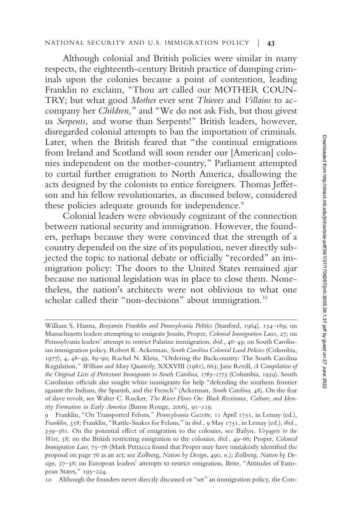#### NATIONAL SECURITY AND U.S. IMMIGRATION POLICY | **43**

Although colonial and British policies were similar in many respects, the eighteenth-century British practice of dumping criminals upon the colonies became a point of contention, leading Franklin to exclaim, "Thou art called our MOTHER COUN-TRY; but what good *Mother* ever sent *Thieves* and *Villains* to accompany her *Children,*" and "We do not ask Fish, but thou givest us *Serpents,* and worse than Serpents!" British leaders, however, disregarded colonial attempts to ban the importation of criminals. Later, when the British feared that "the continual emigrations from Ireland and Scotland will soon render our [American] colonies independent on the mother-country," Parliament attempted to curtail further emigration to North America, disallowing the acts designed by the colonists to entice foreigners. Thomas Jefferson and his fellow revolutionaries, as discussed below, considered these policies adequate grounds for independence.<sup>9</sup>

Colonial leaders were obviously cognizant of the connection between national security and immigration. However, the founders, perhaps because they were convinced that the strength of a country depended on the size of its population, never directly subjected the topic to national debate or officially "recorded" an immigration policy: The doors to the United States remained ajar because no national legislation was in place to close them. Nonetheless, the nation's architects were not oblivious to what one scholar called their "non-decisions" about immigration.<sup>10</sup>

William S. Hanna, *Benjamin Franklin and Pennsylvania Politics* (Stanford, 1964), 154–169; on Massachusetts leaders attempting to emigrate Jesuits, Proper, *Colonial Immigration Laws,* 27; on Pennsylvania leaders' attempt to restrict Palatine immigration, *ibid.,* 46–49; on South Carolinian immigration policy, Robert K. Ackerman, *South Carolina Colonial Land Policies* (Columbia, 1977), 4, 48–49, 89–90; Rachel N. Klein, "Ordering the Backcountry: The South Carolina Regulation," *William and Mary Quarterly,* XXXVIII (1981), 663; Jane Revill, *A Compilation of the Original Lists of Protestant Immigrants to South Carolina, 1763–1773* (Columbia, 1939). South Carolinian officials also sought white immigrants for help "defending the southern frontier against the Indians, the Spanish, and the French" (Ackerman, *South Carolina,* 48). On the fear of slave revolt, see Walter C. Rucker, *The River Flows On: Black Resistance, Culture, and Identity Formation in Early America* (Baton Rouge, 2006), 91–119.

<sup>9</sup> Franklin, "On Transported Felons," *Pennsylvania Gazette,* 11 April 1751, in Lemay (ed.), *Franklin,* 358; Franklin, "Rattle-Snakes for Felons," in *ibid.,* 9 May 1751, in Lemay (ed.), *ibid.,* 359–361. On the potential effect of emigration to the colonies, see Bailyn, *Voyagers to the West,* 38; on the British restricting emigration to the colonies, *ibid.,* 49–66; Proper, *Colonial Immigration Law,* 75–76 (Mark Petracca found that Proper may have mistakenly identified the proposal on page 76 as an act; see Zolberg, *Nation by Design,* 490, *n.*); Zolberg, *Nation by Design,* 37–38; on European leaders' attempts to restrict emigration, Brite, "Attitudes of European States," 195–224.

<sup>10</sup> Although the founders never directly discussed or "set" an immigration policy, the Con-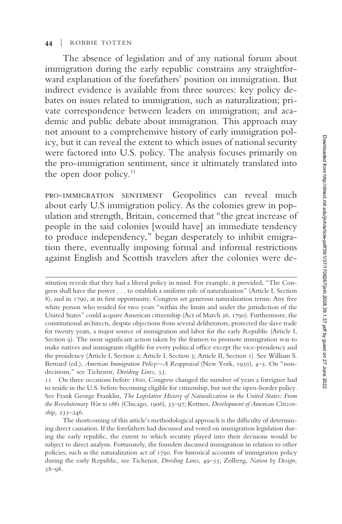#### **44** | ROBBIE TOTTEN

The absence of legislation and of any national forum about immigration during the early republic constrains any straightforward explanation of the forefathers' position on immigration. But indirect evidence is available from three sources: key policy debates on issues related to immigration, such as naturalization; private correspondence between leaders on immigration; and academic and public debate about immigration. This approach may not amount to a comprehensive history of early immigration policy, but it can reveal the extent to which issues of national security were factored into U.S. policy. The analysis focuses primarily on the pro-immigration sentiment, since it ultimately translated into the open door policy. $11$ 

pro-immigration sentiment Geopolitics can reveal much about early U.S immigration policy. As the colonies grew in population and strength, Britain, concerned that "the great increase of people in the said colonies [would have] an immediate tendency to produce independency," began desperately to inhibit emigration there, eventually imposing formal and informal restrictions against English and Scottish travelers after the colonies were de-

stitution reveals that they had a liberal policy in mind. For example, it provided, "The Congress shall have the power . . . to establish a uniform rule of naturalization" (Article I, Section 8), and in 1790, at its first opportunity, Congress set generous naturalization terms: Any free white person who resided for two years "within the limits and under the jurisdiction of the United States" could acquire American citizenship (Act of March 26, 1790). Furthermore, the constitutional architects, despite objections from several deliberators, protected the slave trade for twenty years, a major source of immigration and labor for the early Republic (Article I, Section 9). The most significant action taken by the framers to promote immigration was to make natives and immigrants eligible for every political office except the vice-presidency and the presidency (Article I, Section 2; Article I, Section 3; Article II, Section 1). See William S. Bernard (ed.), *American Immigration Policy—A Reappraisal* (New York, 1950), 4–5. On "nondecisions," see Tichenor, *Dividing Lines,* 53.

<sup>11</sup> On three occasions before 1800, Congress changed the number of years a foreigner had to reside in the U.S. before becoming eligible for citizenship, but not the open-border policy. See Frank George Franklin, *The Legislative History of Naturalization in the United States: From the Revolutionary War to 1861* (Chicago, 1906), 33–97; Kettner, *Development of American Citizenship,* 235–246.

The shortcoming of this article's methodological approach is the difficulty of determining direct causation. If the forefathers had discussed and voted on immigration legislation during the early republic, the extent to which security played into their decisions would be subject to direct analysis. Fortunately, the founders discussed immigration in relation to other policies, such as the naturalization act of 1790. For historical accounts of immigration policy during the early Republic, see Tichenor, *Dividing Lines,* 49–55; Zolberg, *Nation by Design,* 58–98.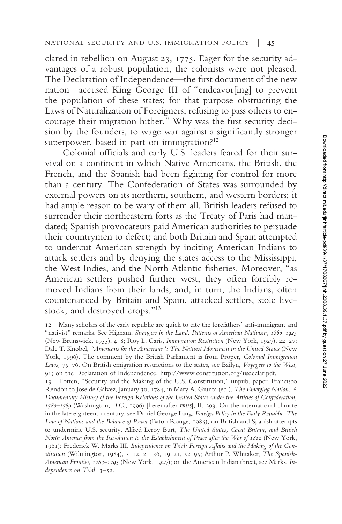clared in rebellion on August 23, 1775. Eager for the security advantages of a robust population, the colonists were not pleased. The Declaration of Independence—the first document of the new nation—accused King George III of "endeavor[ing] to prevent the population of these states; for that purpose obstructing the Laws of Naturalization of Foreigners; refusing to pass others to encourage their migration hither." Why was the first security decision by the founders, to wage war against a significantly stronger superpower, based in part on immigration? $12$ 

Colonial officials and early U.S. leaders feared for their survival on a continent in which Native Americans, the British, the French, and the Spanish had been fighting for control for more than a century. The Confederation of States was surrounded by external powers on its northern, southern, and western borders; it had ample reason to be wary of them all. British leaders refused to surrender their northeastern forts as the Treaty of Paris had mandated; Spanish provocateurs paid American authorities to persuade their countrymen to defect; and both Britain and Spain attempted to undercut American strength by inciting American Indians to attack settlers and by denying the states access to the Mississippi, the West Indies, and the North Atlantic fisheries. Moreover, "as American settlers pushed further west, they often forcibly removed Indians from their lands, and, in turn, the Indians, often countenanced by Britain and Spain, attacked settlers, stole livestock, and destroyed crops."<sup>13</sup>

13 Totten, "Security and the Making of the U.S. Constitution," unpub. paper. Francisco Rendón to Jose de Gálvez, January 30, 1784, in Mary A. Giunta (ed.), *The Emerging Nation: A Documentary History of the Foreign Relations of the United States under the Articles of Confederation, 1780–1789* (Washington, D.C., 1996) [hereinafter *frus*], II, 293. On the international climate in the late eighteenth century, see Daniel George Lang, *Foreign Policy in the Early Republic: The Law of Nations and the Balance of Power* (Baton Rouge, 1985); on British and Spanish attempts to undermine U.S. security, Alfred Leroy Burt, *The United States, Great Britain, and British North America from the Revolution to the Establishment of Peace after the War of 1812* (New York, 1961); Frederick W. Marks III, *Independence on Trial: Foreign Affairs and the Making of the Constitution* (Wilmington, 1984), 5–12, 21–36, 19–21, 52–95; Arthur P. Whitaker, *The Spanish-American Frontier, 1783–1795* (New York, 1927); on the American Indian threat, see Marks, *Independence on Trial,* 3–52.

<sup>12</sup> Many scholars of the early republic are quick to cite the forefathers' anti-immigrant and "nativist" remarks. See Higham, *Strangers in the Land: Patterns of American Nativism, 1860–1925* (New Brunswick, 1955), 4–8; Roy L. Garis, *Immigration Restriction* (New York, 1927), 22–27; Dale T. Knobel, *"Americans for the Americans": The Nativist Movement in the United States* (New York, 1996). The comment by the British Parliament is from Proper, *Colonial Immigration Laws,* 75–76. On British emigration restrictions to the states, see Bailyn, *Voyagers to the West,* 91; on the Declaration of Independence, http://www.constitution.org/usdeclar.pdf.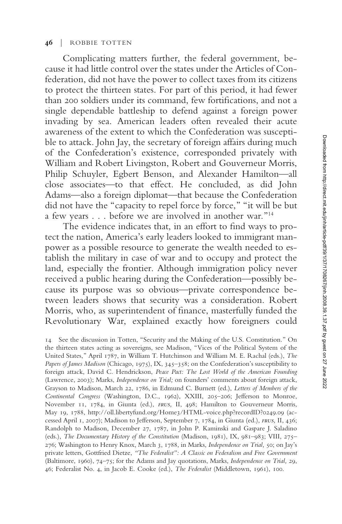#### **46** | ROBBIE TOTTEN

Complicating matters further, the federal government, because it had little control over the states under the Articles of Confederation, did not have the power to collect taxes from its citizens to protect the thirteen states. For part of this period, it had fewer than 200 soldiers under its command, few fortifications, and not a single dependable battleship to defend against a foreign power invading by sea. American leaders often revealed their acute awareness of the extent to which the Confederation was susceptible to attack. John Jay, the secretary of foreign affairs during much of the Confederation's existence, corresponded privately with William and Robert Livingston, Robert and Gouverneur Morris, Philip Schuyler, Egbert Benson, and Alexander Hamilton—all close associates—to that effect. He concluded, as did John Adams—also a foreign diplomat—that because the Confederation did not have the "capacity to repel force by force," "it will be but a few years... before we are involved in another war."<sup>14</sup>

The evidence indicates that, in an effort to find ways to protect the nation, America's early leaders looked to immigrant manpower as a possible resource to generate the wealth needed to establish the military in case of war and to occupy and protect the land, especially the frontier. Although immigration policy never received a public hearing during the Confederation—possibly because its purpose was so obvious—private correspondence between leaders shows that security was a consideration. Robert Morris, who, as superintendent of finance, masterfully funded the Revolutionary War, explained exactly how foreigners could

<sup>14</sup> See the discussion in Totten, "Security and the Making of the U.S. Constitution." On the thirteen states acting as sovereigns, see Madison, "Vices of the Political System of the United States," April 1787, in William T. Hutchinson and William M. E. Rachal (eds.), *The Papers of James Madison* (Chicago, 1975), IX, 345–358; on the Confederation's susceptibility to foreign attack, David C. Hendrickson, *Peace Pact: The Lost World of the American Founding* (Lawrence, 2003); Marks, *Independence on Trial;* on founders' comments about foreign attack, Grayson to Madison, March 22, 1786, in Edmund C. Burnett (ed.), *Letters of Members of the Continental Congress* (Washington, D.C., 1962), XXIII, 205–206; Jefferson to Monroe, November 11, 1784, in Giunta (ed.), *frus,* II, 498; Hamilton to Gouverneur Morris, May 19, 1788, http://oll.libertyfund.org/Home3/HTML-voice.php?recordID?0249.09 (accessed April 1, 2007); Madison to Jefferson, September 7, 1784, in Giunta (ed.), *frus,* II, 436; Randolph to Madison, December 27, 1787, in John P. Kaminski and Gaspare J. Saladino (eds.), *The Documentary History of the Constitution* (Madison, 1981), IX, 981–983; VIII, 275– 276; Washington to Henry Knox, March 3, 1788, in Marks, *Independence on Trial,* 50; on Jay's private letters, Gottfried Dietze, *"The Federalist": A Classic on Federalism and Free Government* (Baltimore, 1960), 74–75; for the Adams and Jay quotations, Marks, *Independence on Trial,* 29, 46; Federalist No. 4, in Jacob E. Cooke (ed.), *The Federalist* (Middletown, 1961), 100.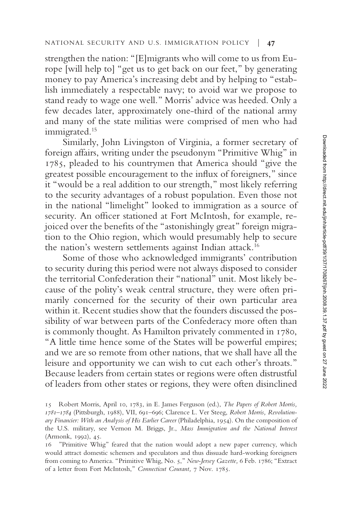strengthen the nation: "[E]migrants who will come to us from Europe [will help to] "get us to get back on our feet," by generating money to pay America's increasing debt and by helping to "establish immediately a respectable navy; to avoid war we propose to stand ready to wage one well." Morris' advice was heeded. Only a few decades later, approximately one-third of the national army and many of the state militias were comprised of men who had immigrated.<sup>15</sup>

Similarly, John Livingston of Virginia, a former secretary of foreign affairs, writing under the pseudonym "Primitive Whig" in 1785, pleaded to his countrymen that America should "give the greatest possible encouragement to the influx of foreigners," since it "would be a real addition to our strength," most likely referring to the security advantages of a robust population. Even those not in the national "limelight" looked to immigration as a source of security. An officer stationed at Fort McIntosh, for example, rejoiced over the benefits of the "astonishingly great" foreign migration to the Ohio region, which would presumably help to secure the nation's western settlements against Indian attack.<sup>16</sup>

Some of those who acknowledged immigrants' contribution to security during this period were not always disposed to consider the territorial Confederation their "national" unit. Most likely because of the polity's weak central structure, they were often primarily concerned for the security of their own particular area within it. Recent studies show that the founders discussed the possibility of war between parts of the Confederacy more often than is commonly thought. As Hamilton privately commented in 1780, "A little time hence some of the States will be powerful empires; and we are so remote from other nations, that we shall have all the leisure and opportunity we can wish to cut each other's throats." Because leaders from certain states or regions were often distrustful of leaders from other states or regions, they were often disinclined

<sup>15</sup> Robert Morris, April 10, 1783, in E. James Ferguson (ed.), *The Papers of Robert Morris, 1781–1784* (Pittsburgh, 1988), VII, 691–696; Clarence L. Ver Steeg, *Robert Morris, Revolutionary Financier: With an Analysis of His Earlier Career* (Philadelphia, 1954). On the composition of the U.S. military, see Vernon M. Briggs, Jr., *Mass Immigration and the National Interest* (Armonk, 1992), 45.

<sup>16 &</sup>quot;Primitive Whig" feared that the nation would adopt a new paper currency, which would attract domestic schemers and speculators and thus dissuade hard-working foreigners from coming to America. "Primitive Whig, No. 5," *New-Jersey Gazette,* 6 Feb. 1786; "Extract of a letter from Fort McIntosh," *Connecticut Courant,* 7 Nov. 1785.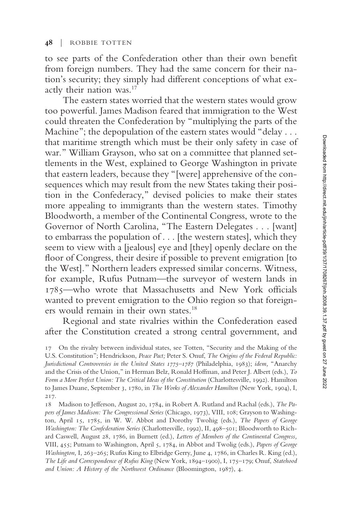to see parts of the Confederation other than their own benefit from foreign numbers. They had the same concern for their nation's security; they simply had different conceptions of what exactly their nation was.<sup>17</sup>

The eastern states worried that the western states would grow too powerful. James Madison feared that immigration to the West could threaten the Confederation by "multiplying the parts of the Machine"; the depopulation of the eastern states would "delay . . . that maritime strength which must be their only safety in case of war." William Grayson, who sat on a committee that planned settlements in the West, explained to George Washington in private that eastern leaders, because they "[were] apprehensive of the consequences which may result from the new States taking their position in the Confederacy," devised policies to make their states more appealing to immigrants than the western states. Timothy Bloodworth, a member of the Continental Congress, wrote to the Governor of North Carolina, "The Eastern Delegates... [want] to embarrass the population of . . . [the western states], which they seem to view with a [jealous] eye and [they] openly declare on the floor of Congress, their desire if possible to prevent emigration [to the West]." Northern leaders expressed similar concerns. Witness, for example, Rufus Putnam—the surveyor of western lands in 1785—who wrote that Massachusetts and New York officials wanted to prevent emigration to the Ohio region so that foreigners would remain in their own states.<sup>18</sup>

Regional and state rivalries within the Confederation eased after the Constitution created a strong central government, and

<sup>17</sup> On the rivalry between individual states, see Totten, "Security and the Making of the U.S. Constitution"; Hendrickson, *Peace Pact;* Peter S. Onuf, *The Origins of the Federal Republic: Jurisdictional Controversies in the United States 1775–1787* (Philadelphia, 1983); *idem,* "Anarchy and the Crisis of the Union," in Herman Belz, Ronald Hoffman, and Peter J. Albert (eds.), *To Form a More Perfect Union: The Critical Ideas of the Constitution* (Charlottesville, 1992). Hamilton to James Duane, September 3, 1780, in *The Works of Alexander Hamilton* (New York, 1904), I, 217.

<sup>18</sup> Madison to Jefferson, August 20, 1784, in Robert A. Rutland and Rachal (eds.), *The Papers of James Madison: The Congressional Series* (Chicago, 1973), VIII, 108; Grayson to Washington, April 15, 1785, in W. W. Abbot and Dorothy Twohig (eds.), *The Papers of George Washington: The Confederation Series* (Charlottesville, 1992), II, 498–501; Bloodworth to Richard Caswell, August 28, 1786, in Burnett (ed.), *Letters of Members of the Continental Congress,* VIII, 455; Putnam to Washington, April 5, 1784, in Abbot and Twolig (eds.), *Papers of George Washington,* I, 263–265; Rufus King to Elbridge Gerry, June 4, 1786, in Charles R. King (ed.), *The Life and Correspondence of Rufus King* (New York, 1894–1900), I, 175–179; Onuf, *Statehood and Union: A History of the Northwest Ordinance* (Bloomington, 1987), 4.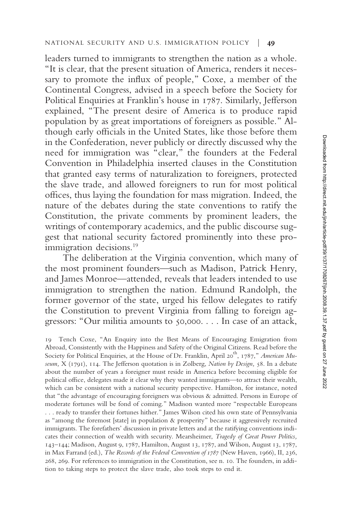leaders turned to immigrants to strengthen the nation as a whole. "It is clear, that the present situation of America, renders it necessary to promote the influx of people," Coxe, a member of the Continental Congress, advised in a speech before the Society for Political Enquiries at Franklin's house in 1787. Similarly, Jefferson explained, "The present desire of America is to produce rapid population by as great importations of foreigners as possible." Although early officials in the United States, like those before them in the Confederation, never publicly or directly discussed why the need for immigration was "clear," the founders at the Federal Convention in Philadelphia inserted clauses in the Constitution that granted easy terms of naturalization to foreigners, protected the slave trade, and allowed foreigners to run for most political offices, thus laying the foundation for mass migration. Indeed, the nature of the debates during the state conventions to ratify the Constitution, the private comments by prominent leaders, the writings of contemporary academics, and the public discourse suggest that national security factored prominently into these proimmigration decisions.<sup>19</sup>

The deliberation at the Virginia convention, which many of the most prominent founders—such as Madison, Patrick Henry, and James Monroe—attended, reveals that leaders intended to use immigration to strengthen the nation. Edmund Randolph, the former governor of the state, urged his fellow delegates to ratify the Constitution to prevent Virginia from falling to foreign aggressors: "Our militia amounts to 50,000. . . . In case of an attack,

19 Tench Coxe, "An Enquiry into the Best Means of Encouraging Emigration from Abroad, Consistently with the Happiness and Safety of the Original Citizens. Read before the Society for Political Enquiries, at the House of Dr. Franklin, April 20<sup>th</sup>, 1787," American Mu*seum,* X (1791), 114. The Jefferson quotation is in Zolberg, *Nation by Design,* 58. In a debate about the number of years a foreigner must reside in America before becoming eligible for political office, delegates made it clear why they wanted immigrants—to attract their wealth, which can be consistent with a national security perspective. Hamilton, for instance, noted that "the advantage of encouraging foreigners was obvious & admitted. Persons in Europe of moderate fortunes will be fond of coming." Madison wanted more "respectable Europeans . . . ready to transfer their fortunes hither." James Wilson cited his own state of Pennsylvania as "among the foremost [state] in population & prosperity" because it aggressively recruited immigrants. The forefathers' discussion in private letters and at the ratifying conventions indicates their connection of wealth with security. Mearsheimer, *Tragedy of Great Power Politics,* 143–144; Madison, August 9, 1787, Hamilton, August 13, 1787, and Wilson, August 13, 1787, in Max Farrand (ed.), *The Records of the Federal Convention of 1787* (New Haven, 1966), II, 236, 268, 269. For references to immigration in the Constitution, see n. 10. The founders, in addition to taking steps to protect the slave trade, also took steps to end it.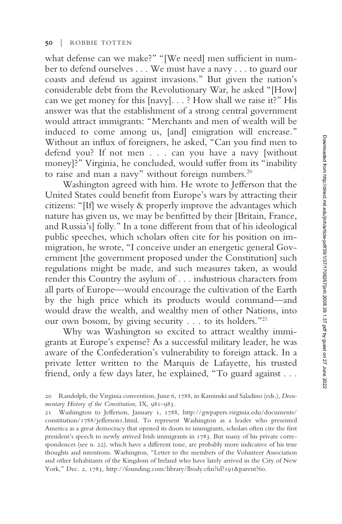what defense can we make?" "[We need] men sufficient in number to defend ourselves . . . We must have a navy . . . to guard our coasts and defend us against invasions." But given the nation's considerable debt from the Revolutionary War, he asked "[How] can we get money for this [navy]. . . ? How shall we raise it?" His answer was that the establishment of a strong central government would attract immigrants: "Merchants and men of wealth will be induced to come among us, [and] emigration will encrease." Without an influx of foreigners, he asked, "Can you find men to defend you? If not men . . . can you have a navy [without money]?" Virginia, he concluded, would suffer from its "inability to raise and man a navy" without foreign numbers. $20$ 

Washington agreed with him. He wrote to Jefferson that the United States could benefit from Europe's wars by attracting their citizens: "[If] we wisely & properly improve the advantages which nature has given us, we may be benfitted by their [Britain, France, and Russia's] folly." In a tone different from that of his ideological public speeches, which scholars often cite for his position on immigration, he wrote, "I conceive under an energetic general Government [the government proposed under the Constitution] such regulations might be made, and such measures taken, as would render this Country the asylum of... industrious characters from all parts of Europe—would encourage the cultivation of the Earth by the high price which its products would command—and would draw the wealth, and wealthy men of other Nations, into our own bosom, by giving security . . . to its holders."<sup>21</sup>

Why was Washington so excited to attract wealthy immigrants at Europe's expense? As a successful military leader, he was aware of the Confederation's vulnerability to foreign attack. In a private letter written to the Marquis de Lafayette, his trusted friend, only a few days later, he explained, "To guard against...

<sup>20</sup> Randolph, the Virginia convention, June 6, 1788, in Kaminski and Saladino (eds.), *Documentary History of the Constitution,* IX, 981–983.

<sup>21</sup> Washington to Jefferson, January 1, 1788, http://gwpapers.virginia.edu/documents/ constitution/1788/jefferson1.html. To represent Washington as a leader who presented America as a great democracy that opened its doors to immigrants, scholars often cite the first president's speech to newly arrived Irish immigrants in 1783. But many of his private correspondences (see n. 22), which have a different tone, are probably more indicative of his true thoughts and intentions. Washington, "Letter to the members of the Volunteer Association and other Inhabitants of the Kingdom of Ireland who have lately arrived in the City of New York," Dec. 2, 1783, http://founding.com/library/lbody.cfm?id?191&parent?60.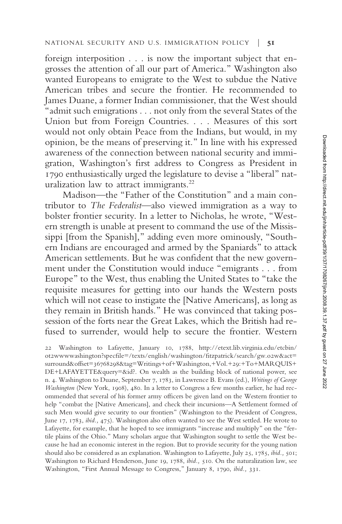foreign interposition . . . is now the important subject that engrosses the attention of all our part of America." Washington also wanted Europeans to emigrate to the West to subdue the Native American tribes and secure the frontier. He recommended to James Duane, a former Indian commissioner, that the West should "admit such emigrations . . . not only from the several States of the Union but from Foreign Countries.... Measures of this sort would not only obtain Peace from the Indians, but would, in my opinion, be the means of preserving it." In line with his expressed awareness of the connection between national security and immigration, Washington's first address to Congress as President in 1790 enthusiastically urged the legislature to devise a "liberal" naturalization law to attract immigrants.<sup>22</sup>

Madison—the "Father of the Constitution" and a main contributor to *The Federalist*—also viewed immigration as a way to bolster frontier security. In a letter to Nicholas, he wrote, "Western strength is unable at present to command the use of the Mississippi [from the Spanish]," adding even more ominously, "Southern Indians are encouraged and armed by the Spaniards" to attack American settlements. But he was confident that the new government under the Constitution would induce "emigrants... from Europe" to the West, thus enabling the United States to "take the requisite measures for getting into our hands the Western posts which will not cease to instigate the [Native Americans], as long as they remain in British hands." He was convinced that taking possession of the forts near the Great Lakes, which the British had refused to surrender, would help to secure the frontier. Western

22 Washington to Lafayette, January 10, 1788, http://etext.lib.virginia.edu/etcbin/ ot2wwwwashington?specfile=/texts/english/washington/fitzpatrick/search/gw.o2w&act= surround&offset=36768298&tag=Writings+of+Washington,+Vol.+29:+To+MARQUIS+ DE+LAFAYETTE&query=&id?. On wealth as the building block of national power, see n. 4. Washington to Duane, September 7, 1783, in Lawrence B. Evans (ed.), *Writings of George Washington* (New York, 1908), 480. In a letter to Congress a few months earlier, he had recommended that several of his former army officers be given land on the Western frontier to help "combat the [Native Americans], and check their incursions—A Settlement formed of such Men would give security to our frontiers" (Washington to the President of Congress, June 17, 1783, *ibid.,* 475). Washington also often wanted to see the West settled. He wrote to Lafayette, for example, that he hoped to see immigrants "increase and multiply" on the "fertile plains of the Ohio." Many scholars argue that Washington sought to settle the West because he had an economic interest in the region. But to provide security for the young nation should also be considered as an explanation. Washington to Lafayette, July 25, 1785, *ibid.,* 501; Washington to Richard Henderson, June 19, 1788, *ibid.,* 510. On the naturalization law, see Washington, "First Annual Message to Congress," January 8, 1790, *ibid.,* 331.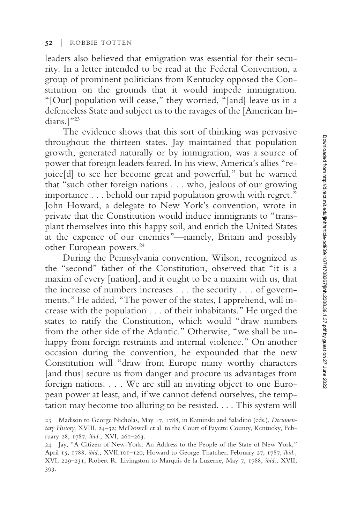leaders also believed that emigration was essential for their security. In a letter intended to be read at the Federal Convention, a group of prominent politicians from Kentucky opposed the Constitution on the grounds that it would impede immigration. "[Our] population will cease," they worried, "[and] leave us in a defenceless State and subject us to the ravages of the [American Indians.]"<sup>23</sup>

The evidence shows that this sort of thinking was pervasive throughout the thirteen states. Jay maintained that population growth, generated naturally or by immigration, was a source of power that foreign leaders feared. In his view, America's allies "rejoice[d] to see her become great and powerful," but he warned that "such other foreign nations . . . who, jealous of our growing importance... behold our rapid population growth with regret." John Howard, a delegate to New York's convention, wrote in private that the Constitution would induce immigrants to "transplant themselves into this happy soil, and enrich the United States at the expence of our enemies"—namely, Britain and possibly other European powers.<sup>24</sup>

During the Pennsylvania convention, Wilson, recognized as the "second" father of the Constitution, observed that "it is a maxim of every [nation], and it ought to be a maxim with us, that the increase of numbers increases . . . the security . . . of governments." He added, "The power of the states, I apprehend, will increase with the population . . . of their inhabitants." He urged the states to ratify the Constitution, which would "draw numbers from the other side of the Atlantic." Otherwise, "we shall be unhappy from foreign restraints and internal violence." On another occasion during the convention, he expounded that the new Constitution will "draw from Europe many worthy characters [and thus] secure us from danger and procure us advantages from foreign nations. . . . We are still an inviting object to one European power at least, and, if we cannot defend ourselves, the temptation may become too alluring to be resisted.... This system will

<sup>23</sup> Madison to George Nicholas, May 17, 1788, in Kaminski and Saladino (eds.), *Documentary History,* XVIII, 24–32; McDowell et al. to the Court of Fayette County, Kentucky, February 28, 1787, *ibid.,* XVI, 261–263.

<sup>24</sup> Jay, "A Citizen of New-York: An Address to the People of the State of New York," April 15, 1788, *ibid.,* XVII,101–120; Howard to George Thatcher, February 27, 1787, *ibid.,* XVI, 229–231; Robert R. Livingston to Marquis de la Luzerne, May 7, 1788, *ibid.,* XVII, 393.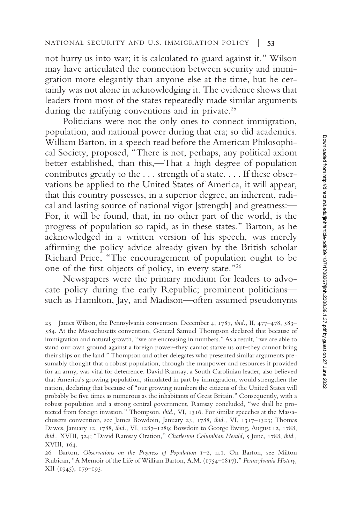#### NATIONAL SECURITY AND U.S. IMMIGRATION POLICY | **53**

not hurry us into war; it is calculated to guard against it." Wilson may have articulated the connection between security and immigration more elegantly than anyone else at the time, but he certainly was not alone in acknowledging it. The evidence shows that leaders from most of the states repeatedly made similar arguments during the ratifying conventions and in private.<sup>25</sup>

Politicians were not the only ones to connect immigration, population, and national power during that era; so did academics. William Barton, in a speech read before the American Philosophical Society, proposed, "There is not, perhaps, any political axiom better established, than this,—That a high degree of population contributes greatly to the . . . strength of a state. . . . If these observations be applied to the United States of America, it will appear, that this country possesses, in a superior degree, an inherent, radical and lasting source of national vigor [strength] and greatness:— For, it will be found, that, in no other part of the world, is the progress of population so rapid, as in these states." Barton, as he acknowledged in a written version of his speech, was merely affirming the policy advice already given by the British scholar Richard Price, "The encouragement of population ought to be one of the first objects of policy, in every state."<sup>26</sup>

Newspapers were the primary medium for leaders to advocate policy during the early Republic; prominent politicians such as Hamilton, Jay, and Madison—often assumed pseudonyms

<sup>25</sup> James Wilson, the Pennsylvania convention, December 4, 1787, *ibid.,* II, 477–478, 583– 584. At the Massachusetts convention, General Samuel Thompson declared that because of immigration and natural growth, "we are encreasing in numbers." As a result, "we are able to stand our own ground against a foreign power–they cannot starve us out–they cannot bring their ships on the land." Thompson and other delegates who presented similar arguments presumably thought that a robust population, through the manpower and resources it provided for an army, was vital for deterrence. David Ramsay, a South Carolinian leader, also believed that America's growing population, stimulated in part by immigration, would strengthen the nation, declaring that because of "our growing numbers the citizens of the United States will probably be five times as numerous as the inhabitants of Great Britain." Consequently, with a robust population and a strong central government, Ramsay concluded, "we shall be protected from foreign invasion." Thompson, *ibid.,* VI, 1316. For similar speeches at the Massachusetts convention, see James Bowdoin, January 23, 1788, *ibid.,* VI, 1317–1323; Thomas Dawes, January 12, 1788, *ibid.,* VI, 1287–1289; Bowdoin to George Ewing, August 12, 1788, *ibid.,* XVIII, 324; "David Ramsay Oration," *Charleston Columbian Herald,* 5 June, 1788, *ibid.,* XVIII, 164.

<sup>26</sup> Barton, *Observations on the Progress of Population* 1–2, n.1. On Barton, see Milton Rubican, "A Memoir of the Life of William Barton, A.M. (1754–1817)," *Pennsylvania History,* XII (1945), 179–193.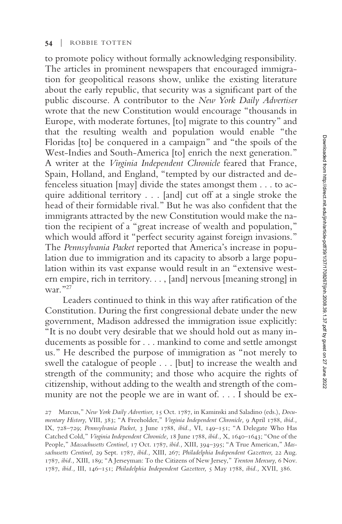to promote policy without formally acknowledging responsibility. The articles in prominent newspapers that encouraged immigration for geopolitical reasons show, unlike the existing literature about the early republic, that security was a significant part of the public discourse. A contributor to the *New York Daily Advertiser* wrote that the new Constitution would encourage "thousands in Europe, with moderate fortunes, [to] migrate to this country" and that the resulting wealth and population would enable "the Floridas [to] be conquered in a campaign" and "the spoils of the West-Indies and South-America [to] enrich the next generation." A writer at the *Virginia Independent Chronicle* feared that France, Spain, Holland, and England, "tempted by our distracted and defenceless situation [may] divide the states amongst them . . . to acquire additional territory... [and] cut off at a single stroke the head of their formidable rival." But he was also confident that the immigrants attracted by the new Constitution would make the nation the recipient of a "great increase of wealth and population," which would afford it "perfect security against foreign invasions." The *Pennsylvania Packet* reported that America's increase in population due to immigration and its capacity to absorb a large population within its vast expanse would result in an "extensive western empire, rich in territory..., [and] nervous [meaning strong] in war."<sup>27</sup>

Leaders continued to think in this way after ratification of the Constitution. During the first congressional debate under the new government, Madison addressed the immigration issue explicitly: "It is no doubt very desirable that we should hold out as many inducements as possible for . . . mankind to come and settle amongst us." He described the purpose of immigration as "not merely to swell the catalogue of people... [but] to increase the wealth and strength of the community; and those who acquire the rights of citizenship, without adding to the wealth and strength of the community are not the people we are in want of. ...I should be ex-

<sup>27</sup> Marcus," *New York Daily Advertiser,* 15 Oct. 1787, in Kaminski and Saladino (eds.), *Documentary History,* VIII, 383; "A Freeholder," *Virginia Independent Chronicle,* 9 April 1788, *ibid.,* IX, 728–729; *Pennsylvania Packet,* 3 June 1788, *ibid.,* VI, 149–151; "A Delegate Who Has Catched Cold," *Virginia Independent Chronicle,* 18 June 1788, *ibid.,* X, 1640–1643; "One of the People," *Massachusetts Centinel,* 17 Oct. 1787, *ibid.,* XIII, 394–395; "A True American," *Massachusetts Centinel,* 29 Sept. 1787, *ibid.,* XIII, 267; *Philadelphia Independent Gazetteer,* 22 Aug. 1787, *ibid.,* XIII, 189; "A Jerseyman: To the Citizens of New Jersey," *Trenton Mercury,* 6 Nov. 1787, *ibid.,* III, 146–151; *Philadelphia Independent Gazetteer,* 5 May 1788, *ibid.,* XVII, 386.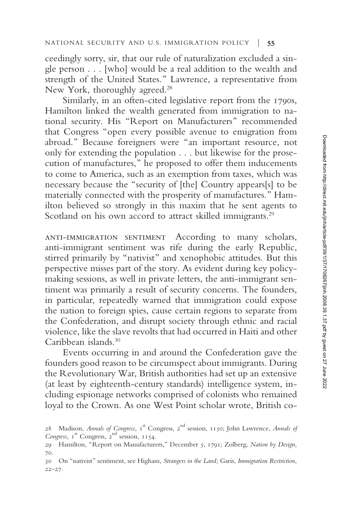ceedingly sorry, sir, that our rule of naturalization excluded a single person... [who] would be a real addition to the wealth and strength of the United States." Lawrence, a representative from New York, thoroughly agreed.<sup>28</sup>

Similarly, in an often-cited legislative report from the 1790s, Hamilton linked the wealth generated from immigration to national security. His "Report on Manufacturers" recommended that Congress "open every possible avenue to emigration from abroad." Because foreigners were "an important resource, not only for extending the population . . . but likewise for the prosecution of manufactures," he proposed to offer them inducements to come to America, such as an exemption from taxes, which was necessary because the "security of [the] Country appears[s] to be materially connected with the prosperity of manufactures." Hamilton believed so strongly in this maxim that he sent agents to Scotland on his own accord to attract skilled immigrants.<sup>29</sup>

anti-immigration sentiment According to many scholars, anti-immigrant sentiment was rife during the early Republic, stirred primarily by "nativist" and xenophobic attitudes. But this perspective misses part of the story. As evident during key policymaking sessions, as well in private letters, the anti-immigrant sentiment was primarily a result of security concerns. The founders, in particular, repeatedly warned that immigration could expose the nation to foreign spies, cause certain regions to separate from the Confederation, and disrupt society through ethnic and racial violence, like the slave revolts that had occurred in Haiti and other Caribbean islands.<sup>30</sup>

Events occurring in and around the Confederation gave the founders good reason to be circumspect about immigrants. During the Revolutionary War, British authorities had set up an extensive (at least by eighteenth-century standards) intelligence system, including espionage networks comprised of colonists who remained loyal to the Crown. As one West Point scholar wrote, British co-

<sup>28</sup> Madison, *Annals of Congress*, 1<sup>st</sup> Congress, 2<sup>nd</sup> session, 1150; John Lawrence, *Annals of* Congress, 1<sup>st</sup> Congress, 2<sup>nd</sup> session, 1154.

<sup>29</sup> Hamilton, "Report on Manufacturers," December 5, 1791; Zolberg, *Nation by Design,* 70.

<sup>30</sup> On "nativist" sentiment, see Higham, *Strangers in the Land;* Garis, *Immigration Restriction,* 22–27.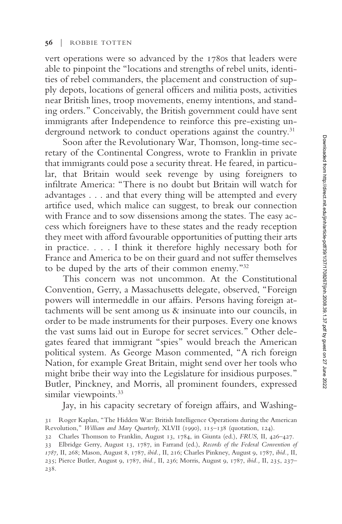vert operations were so advanced by the 1780s that leaders were able to pinpoint the "locations and strengths of rebel units, identities of rebel commanders, the placement and construction of supply depots, locations of general officers and militia posts, activities near British lines, troop movements, enemy intentions, and standing orders." Conceivably, the British government could have sent immigrants after Independence to reinforce this pre-existing underground network to conduct operations against the country.<sup>31</sup>

Soon after the Revolutionary War, Thomson, long-time secretary of the Continental Congress, wrote to Franklin in private that immigrants could pose a security threat. He feared, in particular, that Britain would seek revenge by using foreigners to infiltrate America: "There is no doubt but Britain will watch for advantages . . . and that every thing will be attempted and every artifice used, which malice can suggest, to break our connection with France and to sow dissensions among the states. The easy access which foreigners have to these states and the ready reception they meet with afford favourable opportunities of putting their arts in practice....I think it therefore highly necessary both for France and America to be on their guard and not suffer themselves to be duped by the arts of their common enemy."<sup>32</sup>

This concern was not uncommon. At the Constitutional Convention, Gerry, a Massachusetts delegate, observed, "Foreign powers will intermeddle in our affairs. Persons having foreign attachments will be sent among us & insinuate into our councils, in order to be made instruments for their purposes. Every one knows the vast sums laid out in Europe for secret services." Other delegates feared that immigrant "spies" would breach the American political system. As George Mason commented, "A rich foreign Nation, for example Great Britain, might send over her tools who might bribe their way into the Legislature for insidious purposes." Butler, Pinckney, and Morris, all prominent founders, expressed similar viewpoints.<sup>33</sup>

Jay, in his capacity secretary of foreign affairs, and Washing-

<sup>31</sup> Roger Kaplan, "The Hidden War: British Intelligence Operations during the American Revolution," *William and Mary Quarterly,* XLVII (1990), 115–138 (quotation, 124).

<sup>32</sup> Charles Thomson to Franklin, August 13, 1784, in Giunta (ed.), *FRUS,* II, 426–427.

<sup>33</sup> Elbridge Gerry, August 13, 1787, in Farrand (ed.), *Records of the Federal Convention of 1787,* II, 268; Mason, August 8, 1787, *ibid.,* II, 216; Charles Pinkney, August 9, 1787, *ibid.,* II, 235; Pierce Butler, August 9, 1787, *ibid.,* II, 236; Morris, August 9, 1787, *ibid.,* II, 235, 237– 238.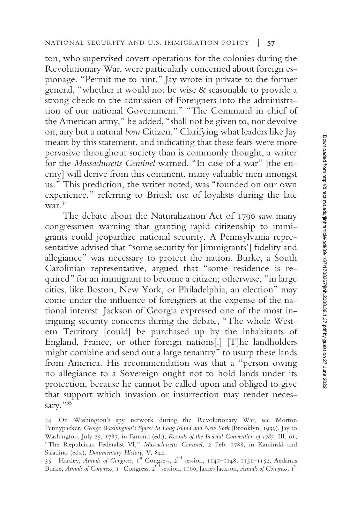ton, who supervised covert operations for the colonies during the Revolutionary War, were particularly concerned about foreign espionage. "Permit me to hint," Jay wrote in private to the former general, "whether it would not be wise & seasonable to provide a strong check to the admission of Foreigners into the administration of our national Government." "The Command in chief of the American army," he added, "shall not be given to, nor devolve on, any but a natural *born* Citizen." Clarifying what leaders like Jay meant by this statement, and indicating that these fears were more pervasive throughout society than is commonly thought, a writer for the *Massachusetts Centinel* warned, "In case of a war" [the enemy] will derive from this continent, many valuable men amongst us." This prediction, the writer noted, was "founded on our own experience," referring to British use of loyalists during the late war. $34$ 

The debate about the Naturalization Act of 1790 saw many congressmen warning that granting rapid citizenship to immigrants could jeopardize national security. A Pennsylvania representative advised that "some security for [immigrants'] fidelity and allegiance" was necessary to protect the nation. Burke, a South Carolinian representative, argued that "some residence is required" for an immigrant to become a citizen; otherwise, "in large cities, like Boston, New York, or Philadelphia, an election" may come under the influence of foreigners at the expense of the national interest. Jackson of Georgia expressed one of the most intriguing security concerns during the debate, "The whole Western Territory [could] be purchased up by the inhabitants of England, France, or other foreign nations[.] [T]he landholders might combine and send out a large tenantry" to usurp these lands from America. His recommendation was that a "person owing no allegiance to a Sovereign ought not to hold lands under its protection, because he cannot be called upon and obliged to give that support which invasion or insurrection may render necessary."35

<sup>34</sup> On Washington's spy network during the Revolutionary War, see Morton Pennypacker, *George Washington's Spies: In Long Island and New York* (Brooklyn, 1939). Jay to Washington, July 25, 1787, in Farrand (ed.), *Records of the Federal Convention of 1787,* III, 61; "The Republican Federalist VI," *Massachusetts Centinel,* 2 Feb. 1788, in Kaminski and Saladino (eds.), *Documentary History,* V, 844.

<sup>35</sup> Hartley, Annals of Congress, 1<sup>st</sup> Congress, 2<sup>nd</sup> session, 1147–1148, 1151–1152; Aedanus Burke, *Annals of Congress*, 1<sup>st</sup> Congress, 2<sup>nd</sup> session, 1160; James Jackson, *Annals of Congress*, 1<sup>st</sup>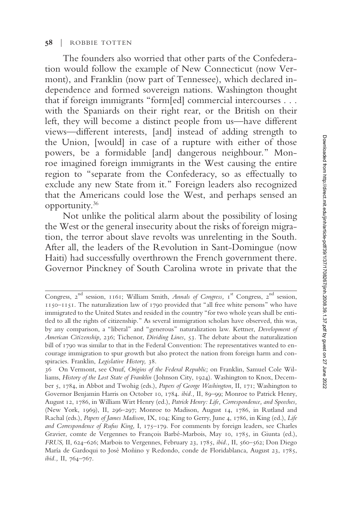### **58** | ROBBIE TOTTEN

The founders also worried that other parts of the Confederation would follow the example of New Connecticut (now Vermont), and Franklin (now part of Tennessee), which declared independence and formed sovereign nations. Washington thought that if foreign immigrants "form[ed] commercial intercourses . . . with the Spaniards on their right rear, or the British on their left, they will become a distinct people from us—have different views—different interests, [and] instead of adding strength to the Union, [would] in case of a rupture with either of those powers, be a formidable [and] dangerous neighbour." Monroe imagined foreign immigrants in the West causing the entire region to "separate from the Confederacy, so as effectually to exclude any new State from it." Foreign leaders also recognized that the Americans could lose the West, and perhaps sensed an opportunity.<sup>36</sup>

Not unlike the political alarm about the possibility of losing the West or the general insecurity about the risks of foreign migration, the terror about slave revolts was unrelenting in the South. After all, the leaders of the Revolution in Sant-Domingue (now Haiti) had successfully overthrown the French government there. Governor Pinckney of South Carolina wrote in private that the

Congress, 2<sup>nd</sup> session, 1161; William Smith, *Annals of Congress*, 1<sup>st</sup> Congress, 2<sup>nd</sup> session, 1150–1151. The naturalization law of 1790 provided that "all free white persons" who have immigrated to the United States and resided in the country "for two whole years shall be entitled to all the rights of citizenship." As several immigration scholars have observed, this was, by any comparison, a "liberal" and "generous" naturalization law. Kettner, *Development of American Citizenship,* 236; Tichenor, *Dividing Lines,* 53. The debate about the naturalization bill of 1790 was similar to that in the Federal Convention: The representatives wanted to encourage immigration to spur growth but also protect the nation from foreign harm and conspiracies. Franklin, *Legislative History,* 38.

<sup>36</sup> On Vermont, see Onuf, *Origins of the Federal Republic;* on Franklin, Samuel Cole Williams, *History of the Lost State of Franklin* (Johnson City, 1924). Washington to Knox, December 5, 1784, in Abbot and Twohig (eds.), *Papers of George Washington,* II, 171; Washington to Governor Benjamin Harris on October 10, 1784. *ibid.,* II, 89–99; Monroe to Patrick Henry, August 12, 1786, in William Wirt Henry (ed.), *Patrick Henry: Life, Correspondence, and Speeches,* (New York, 1969), II, 296–297; Monroe to Madison, August 14, 1786, in Rutland and Rachal (eds.), *Papers of James Madison,* IX, 104; King to Gerry, June 4, 1786, in King (ed.), *Life and Correspondence of Rufus King,* I, 175–179. For comments by foreign leaders, see Charles Gravier, comte de Vergennes to François Barbé-Marbois, May 10, 1785, in Giunta (ed.), *FRUS,* II, 624–626; Marbois to Vergennes, February 23, 1785, *ibid.,* II, 560–562; Don Diego María de Gardoqui to José Moñino y Redondo, conde de Floridablanca, August 23, 1785, *ibid.,* II, 764–767.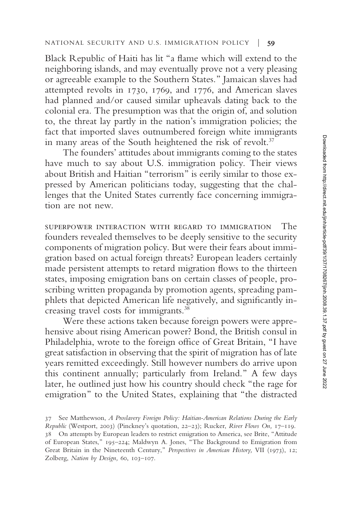Black Republic of Haiti has lit "a flame which will extend to the neighboring islands, and may eventually prove not a very pleasing or agreeable example to the Southern States." Jamaican slaves had attempted revolts in 1730, 1769, and 1776, and American slaves had planned and/or caused similar upheavals dating back to the colonial era. The presumption was that the origin of, and solution to, the threat lay partly in the nation's immigration policies; the fact that imported slaves outnumbered foreign white immigrants in many areas of the South heightened the risk of revolt.<sup>37</sup>

The founders' attitudes about immigrants coming to the states have much to say about U.S. immigration policy. Their views about British and Haitian "terrorism" is eerily similar to those expressed by American politicians today, suggesting that the challenges that the United States currently face concerning immigration are not new.

superpower interaction with regard to immigration The founders revealed themselves to be deeply sensitive to the security components of migration policy. But were their fears about immigration based on actual foreign threats? European leaders certainly made persistent attempts to retard migration flows to the thirteen states, imposing emigration bans on certain classes of people, proscribing written propaganda by promotion agents, spreading pamphlets that depicted American life negatively, and significantly increasing travel costs for immigrants.<sup>38</sup>

Were these actions taken because foreign powers were apprehensive about rising American power? Bond, the British consul in Philadelphia, wrote to the foreign office of Great Britain, "I have great satisfaction in observing that the spirit of migration has of late years remitted exceedingly. Still however numbers do arrive upon this continent annually; particularly from Ireland." A few days later, he outlined just how his country should check "the rage for emigration" to the United States, explaining that "the distracted

<sup>37</sup> See Matthewson, *A Proslavery Foreign Policy: Haitian-American Relations During the Early Republic* (Westport, 2003) (Pinckney's quotation, 22–23); Rucker, *River Flows On,* 17–119. 38 On attempts by European leaders to restrict emigration to America, see Brite, "Attitude of European States," 195–224; Maldwyn A. Jones, "The Background to Emigration from Great Britain in the Nineteenth Century," *Perspectives in American History,* VII (1973), 12; Zolberg, *Nation by Design,* 60, 103–107.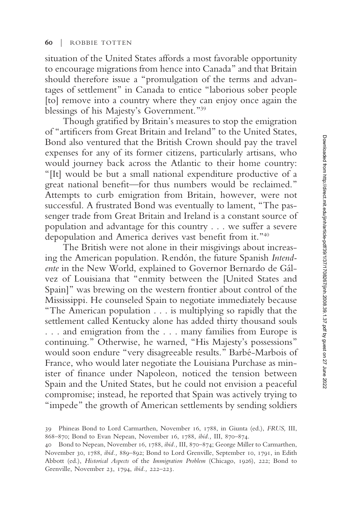situation of the United States affords a most favorable opportunity to encourage migrations from hence into Canada" and that Britain should therefore issue a "promulgation of the terms and advantages of settlement" in Canada to entice "laborious sober people [to] remove into a country where they can enjoy once again the blessings of his Majesty's Government."<sup>39</sup>

Though gratified by Britain's measures to stop the emigration of "artificers from Great Britain and Ireland" to the United States, Bond also ventured that the British Crown should pay the travel expenses for any of its former citizens, particularly artisans, who would journey back across the Atlantic to their home country: "[It] would be but a small national expenditure productive of a great national benefit—for thus numbers would be reclaimed." Attempts to curb emigration from Britain, however, were not successful. A frustrated Bond was eventually to lament, "The passenger trade from Great Britain and Ireland is a constant source of population and advantage for this country . . . we suffer a severe depopulation and America derives vast benefit from it."<sup>40</sup>

The British were not alone in their misgivings about increasing the American population. Rendón, the future Spanish *Intendente* in the New World, explained to Governor Bernardo de Gálvez of Louisiana that "enmity between the [United States and Spain]" was brewing on the western frontier about control of the Mississippi. He counseled Spain to negotiate immediately because "The American population . . . is multiplying so rapidly that the settlement called Kentucky alone has added thirty thousand souls . . . and emigration from the... many families from Europe is continuing." Otherwise, he warned, "His Majesty's possessions" would soon endure "very disagreeable results." Barbé-Marbois of France, who would later negotiate the Louisiana Purchase as minister of finance under Napoleon, noticed the tension between Spain and the United States, but he could not envision a peaceful compromise; instead, he reported that Spain was actively trying to "impede" the growth of American settlements by sending soldiers

<sup>39</sup> Phineas Bond to Lord Carmarthen, November 16, 1788, in Giunta (ed.), *FRUS,* III, 868–870; Bond to Evan Nepean, November 16, 1788, *ibid.,* III, 870–874.

<sup>40</sup> Bond to Nepean, November 16, 1788, *ibid.,* III, 870–874; George Miller to Carmarthen, November 30, 1788, *ibid.,* 889–892; Bond to Lord Grenville, September 10, 1791, in Edith Abbott (ed.), *Historical Aspects* of the *Immigration Problem* (Chicago, 1926), 222; Bond to Grenville, November 23, 1794, *ibid.,* 222–223.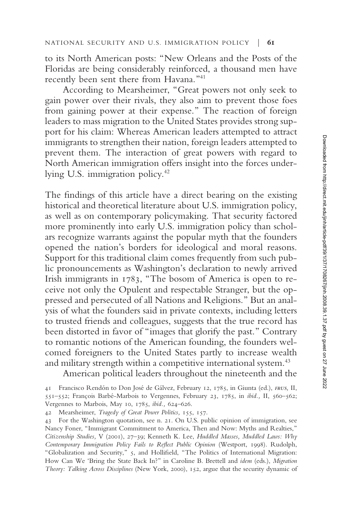to its North American posts: "New Orleans and the Posts of the Floridas are being considerably reinforced, a thousand men have recently been sent there from Havana."<sup>41</sup>

According to Mearsheimer, "Great powers not only seek to gain power over their rivals, they also aim to prevent those foes from gaining power at their expense." The reaction of foreign leaders to mass migration to the United States provides strong support for his claim: Whereas American leaders attempted to attract immigrants to strengthen their nation, foreign leaders attempted to prevent them. The interaction of great powers with regard to North American immigration offers insight into the forces underlying U.S. immigration policy.<sup>42</sup>

The findings of this article have a direct bearing on the existing historical and theoretical literature about U.S. immigration policy, as well as on contemporary policymaking. That security factored more prominently into early U.S. immigration policy than scholars recognize warrants against the popular myth that the founders opened the nation's borders for ideological and moral reasons. Support for this traditional claim comes frequently from such public pronouncements as Washington's declaration to newly arrived Irish immigrants in 1783, "The bosom of America is open to receive not only the Opulent and respectable Stranger, but the oppressed and persecuted of all Nations and Religions." But an analysis of what the founders said in private contexts, including letters to trusted friends and colleagues, suggests that the true record has been distorted in favor of "images that glorify the past." Contrary to romantic notions of the American founding, the founders welcomed foreigners to the United States partly to increase wealth and military strength within a competitive international system.<sup>43</sup>

American political leaders throughout the nineteenth and the

<sup>41</sup> Francisco Rendón to Don José de Gálvez, February 12, 1785, in Giunta (ed.), *frus,* II, 551–552; François Barbé-Marbois to Vergennes, February 23, 1785, in *ibid.,* II, 560–562; Vergennes to Marbois, May 10, 1785, *ibid.,* 624–626.

<sup>42</sup> Mearsheimer, *Tragedy of Great Power Politics,* 155, 157.

<sup>43</sup> For the Washington quotation, see n. 21. On U.S. public opinion of immigration, see Nancy Foner, "Immigrant Commitment to America, Then and Now: Myths and Realties," *Citizenship Studies,* V (2001), 27–39; Kenneth K. Lee, *Huddled Masses, Muddled Laws: Why Contemporary Immigration Policy Fails to Reflect Public Opinion* (Westport, 1998). Rudolph, "Globalization and Security," 5, and Hollifield, "The Politics of International Migration: How Can We 'Bring the State Back In?" in Caroline B. Brettell and *idem* (eds.), *Migration Theory: Talking Across Disciplines* (New York, 2000), 152, argue that the security dynamic of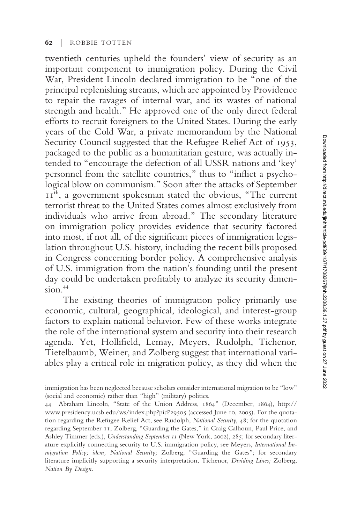twentieth centuries upheld the founders' view of security as an important component to immigration policy. During the Civil War, President Lincoln declared immigration to be "one of the principal replenishing streams, which are appointed by Providence to repair the ravages of internal war, and its wastes of national strength and health." He approved one of the only direct federal efforts to recruit foreigners to the United States. During the early years of the Cold War, a private memorandum by the National Security Council suggested that the Refugee Relief Act of 1953, packaged to the public as a humanitarian gesture, was actually intended to "encourage the defection of all USSR nations and 'key' personnel from the satellite countries," thus to "inflict a psychological blow on communism." Soon after the attacks of September II<sup>th</sup>, a government spokesman stated the obvious, "The current terrorist threat to the United States comes almost exclusively from individuals who arrive from abroad." The secondary literature on immigration policy provides evidence that security factored into most, if not all, of the significant pieces of immigration legislation throughout U.S. history, including the recent bills proposed in Congress concerning border policy. A comprehensive analysis of U.S. immigration from the nation's founding until the present day could be undertaken profitably to analyze its security dimension.<sup>44</sup>

The existing theories of immigration policy primarily use economic, cultural, geographical, ideological, and interest-group factors to explain national behavior. Few of these works integrate the role of the international system and security into their research agenda. Yet, Hollifield, Lemay, Meyers, Rudolph, Tichenor, Tietelbaumb, Weiner, and Zolberg suggest that international variables play a critical role in migration policy, as they did when the

immigration has been neglected because scholars consider international migration to be "low" (social and economic) rather than "high" (military) politics.

<sup>44</sup> Abraham Lincoln, "State of the Union Address, 1864" (December, 1864), http:// www.presidency.ucsb.edu/ws/index.php?pid?29505 (accessed June 10, 2005). For the quotation regarding the Refugee Relief Act, see Rudolph, *National Security,* 48; for the quotation regarding September 11, Zolberg, "Guarding the Gates," in Craig Calhoun, Paul Price, and Ashley Timmer (eds.), *Understanding September 11* (New York, 2002), 285; for secondary literature explicitly connecting security to U.S. immigration policy, see Meyers, *International Immigration Policy; idem, National Security;* Zolberg, "Guarding the Gates"; for secondary literature implicitly supporting a security interpretation, Tichenor, *Dividing Lines;* Zolberg, *Nation By Design.*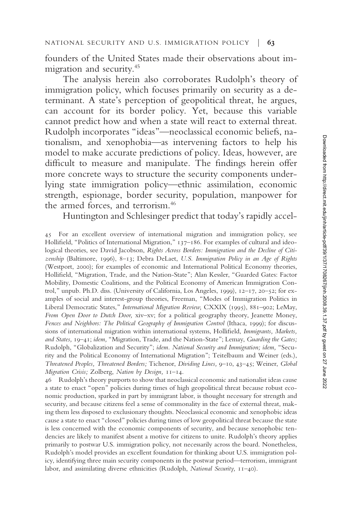founders of the United States made their observations about immigration and security.<sup>45</sup>

The analysis herein also corroborates Rudolph's theory of immigration policy, which focuses primarily on security as a determinant. A state's perception of geopolitical threat, he argues, can account for its border policy. Yet, because this variable cannot predict how and when a state will react to external threat. Rudolph incorporates "ideas"—neoclassical economic beliefs, nationalism, and xenophobia—as intervening factors to help his model to make accurate predictions of policy. Ideas, however, are difficult to measure and manipulate. The findings herein offer more concrete ways to structure the security components underlying state immigration policy—ethnic assimilation, economic strength, espionage, border security, population, manpower for the armed forces, and terrorism.<sup>46</sup>

Huntington and Schlesinger predict that today's rapidly accel-

45 For an excellent overview of international migration and immigration policy, see Hollifield, "Politics of International Migration,"  $137-186$ . For examples of cultural and ideological theories, see David Jacobson, *Rights Across Borders: Immigration and the Decline of Citizenship* (Baltimore, 1996), 8–13; Debra DeLaet, *U.S. Immigration Policy in an Age of Rights* (Westport, 2000); for examples of economic and International Political Economy theories, Hollifield, "Migration, Trade, and the Nation-State"; Alan Kessler, "Guarded Gates: Factor Mobility, Domestic Coalitions, and the Political Economy of American Immigration Control," unpub. Ph.D. diss. (University of California, Los Angeles, 1999), 12–17, 20–52; for examples of social and interest-group theories, Freeman, "Modes of Immigration Politics in Liberal Democratic States," *International Migration Review,* CXXIX (1995), 881–902; LeMay, *From Open Door to Dutch Door,* xiv–xv; for a political geography theory, Jeanette Money, *Fences and Neighbors: The Political Geography of Immigration Control* (Ithaca, 1999); for discussions of international migration within international systems, Hollifield, *Immigrants*, *Markets*, *and States,* 19–41; *idem,* "Migration, Trade, and the Nation-State"; Lemay, *Guarding the Gates;* Rudolph, "Globalization and Security"; *idem. National Security and Immigration; idem,* "Security and the Political Economy of International Migration"; Teitelbaum and Weiner (eds.), *Threatened Peoples, Threatened Borders;* Tichenor, *Dividing Lines,* 9–10, 43–45; Weiner, *Global Migration Crisis;* Zolberg, *Nation by Design,* 11–14.

46 Rudolph's theory purports to show that neoclassical economic and nationalist ideas cause a state to enact "open" policies during times of high geopolitical threat because robust economic production, sparked in part by immigrant labor, is thought necessary for strength and security, and because citizens feel a sense of commonality in the face of external threat, making them less disposed to exclusionary thoughts. Neoclassical economic and xenophobic ideas cause a state to enact "closed" policies during times of low geopolitical threat because the state is less concerned with the economic components of security, and because xenophobic tendencies are likely to manifest absent a motive for citizens to unite. Rudolph's theory applies primarily to postwar U.S. immigration policy, not necessarily across the board. Nonetheless, Rudolph's model provides an excellent foundation for thinking about U.S. immigration policy, identifying three main security components in the postwar period—terrorism, immigrant labor, and assimilating diverse ethnicities (Rudolph, *National Security,* 11–40).